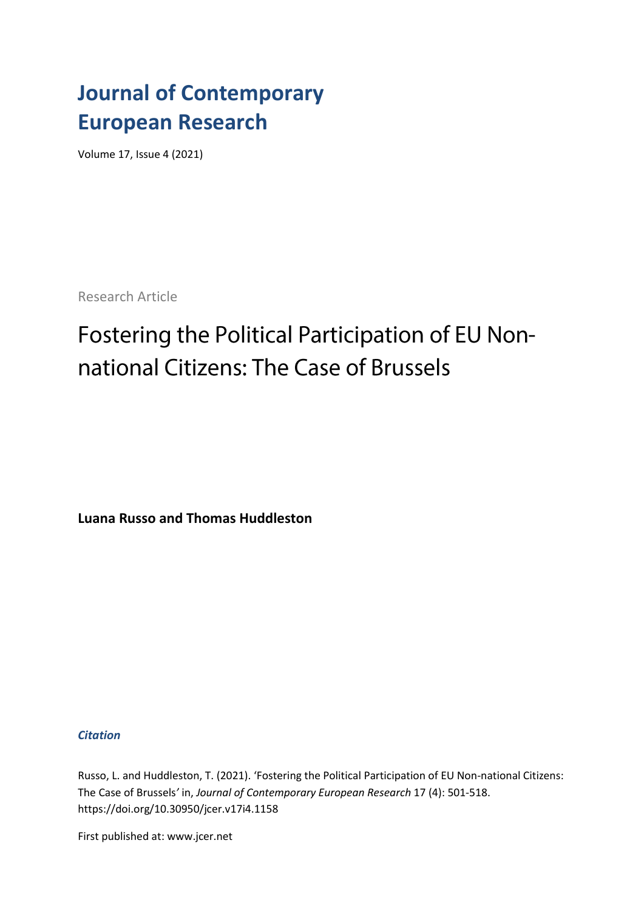# **Journal of Contemporary European Research**

Volume 17, Issue 4 (2021)

Research Article

# Fostering the Political Participation of EU Nonnational Citizens: The Case of Brussels

**Luana Russo and Thomas Huddleston**

*Citation*

Russo, L. and Huddleston, T. (2021). 'Fostering the Political Participation of EU Non-national Citizens: The Case of Brussels*'* in, *Journal of Contemporary European Research* 17 (4): 501-518. [https://doi.org/1](https://doi.org/)0.30950/jcer.v17i4.1158

First published at: www.jcer.net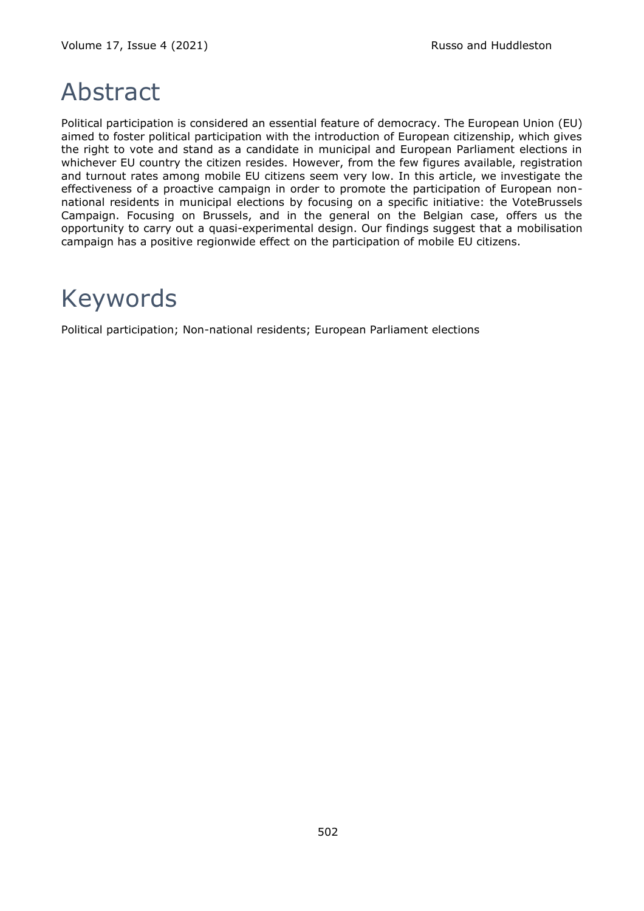# Abstract

Political participation is considered an essential feature of democracy. The European Union (EU) aimed to foster political participation with the introduction of European citizenship, which gives the right to vote and stand as a candidate in municipal and European Parliament elections in whichever EU country the citizen resides. However, from the few figures available, registration and turnout rates among mobile EU citizens seem very low. In this article, we investigate the effectiveness of a proactive campaign in order to promote the participation of European nonnational residents in municipal elections by focusing on a specific initiative: the VoteBrussels Campaign. Focusing on Brussels, and in the general on the Belgian case, offers us the opportunity to carry out a quasi-experimental design. Our findings suggest that a mobilisation campaign has a positive regionwide effect on the participation of mobile EU citizens.

# Keywords

Political participation; Non-national residents; European Parliament elections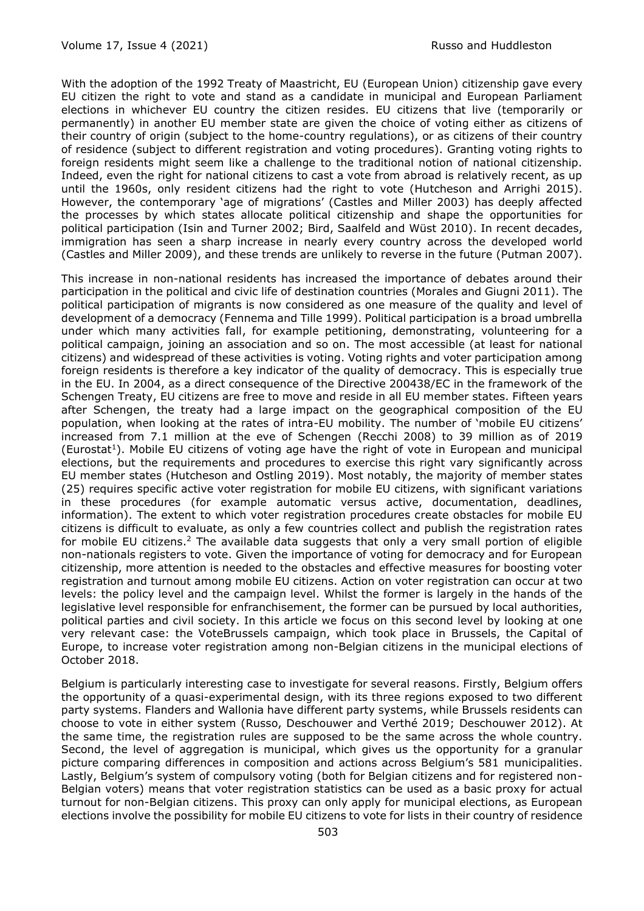With the adoption of the 1992 Treaty of Maastricht, EU (European Union) citizenship gave every EU citizen the right to vote and stand as a candidate in municipal and European Parliament elections in whichever EU country the citizen resides. EU citizens that live (temporarily or permanently) in another EU member state are given the choice of voting either as citizens of their country of origin (subject to the home-country regulations), or as citizens of their country of residence (subject to different registration and voting procedures). Granting voting rights to foreign residents might seem like a challenge to the traditional notion of national citizenship. Indeed, even the right for national citizens to cast a vote from abroad is relatively recent, as up until the 1960s, only resident citizens had the right to vote (Hutcheson and Arrighi 2015). However, the contemporary 'age of migrations' (Castles and Miller 2003) has deeply affected the processes by which states allocate political citizenship and shape the opportunities for political participation (Isin and Turner 2002; Bird, Saalfeld and Wüst 2010). In recent decades, immigration has seen a sharp increase in nearly every country across the developed world (Castles and Miller 2009), and these trends are unlikely to reverse in the future (Putman 2007).

This increase in non-national residents has increased the importance of debates around their participation in the political and civic life of destination countries (Morales and Giugni 2011). The political participation of migrants is now considered as one measure of the quality and level of development of a democracy (Fennema and Tille 1999). Political participation is a broad umbrella under which many activities fall, for example petitioning, demonstrating, volunteering for a political campaign, joining an association and so on. The most accessible (at least for national citizens) and widespread of these activities is voting. Voting rights and voter participation among foreign residents is therefore a key indicator of the quality of democracy. This is especially true in the EU. In 2004, as a direct consequence of the Directive 200438/EC in the framework of the Schengen Treaty, EU citizens are free to move and reside in all EU member states. Fifteen years after Schengen, the treaty had a large impact on the geographical composition of the EU population, when looking at the rates of intra-EU mobility. The number of 'mobile EU citizens' increased from 7.1 million at the eve of Schengen (Recchi 2008) to 39 million as of 2019 (Eurostat<sup>1</sup>). Mobile EU citizens of voting age have the right of vote in European and municipal elections, but the requirements and procedures to exercise this right vary significantly across EU member states (Hutcheson and Ostling 2019). Most notably, the majority of member states (25) requires specific active voter registration for mobile EU citizens, with significant variations in these procedures (for example automatic versus active, documentation, deadlines, information). The extent to which voter registration procedures create obstacles for mobile EU citizens is difficult to evaluate, as only a few countries collect and publish the registration rates for mobile EU citizens.<sup>2</sup> The available data suggests that only a very small portion of eligible non-nationals registers to vote. Given the importance of voting for democracy and for European citizenship, more attention is needed to the obstacles and effective measures for boosting voter registration and turnout among mobile EU citizens. Action on voter registration can occur at two levels: the policy level and the campaign level. Whilst the former is largely in the hands of the legislative level responsible for enfranchisement, the former can be pursued by local authorities, political parties and civil society. In this article we focus on this second level by looking at one very relevant case: the VoteBrussels campaign, which took place in Brussels, the Capital of Europe, to increase voter registration among non-Belgian citizens in the municipal elections of October 2018.

Belgium is particularly interesting case to investigate for several reasons. Firstly, Belgium offers the opportunity of a quasi-experimental design, with its three regions exposed to two different party systems. Flanders and Wallonia have different party systems, while Brussels residents can choose to vote in either system (Russo, Deschouwer and Verthé 2019; Deschouwer 2012). At the same time, the registration rules are supposed to be the same across the whole country. Second, the level of aggregation is municipal, which gives us the opportunity for a granular picture comparing differences in composition and actions across Belgium's 581 municipalities. Lastly, Belgium's system of compulsory voting (both for Belgian citizens and for registered non-Belgian voters) means that voter registration statistics can be used as a basic proxy for actual turnout for non-Belgian citizens. This proxy can only apply for municipal elections, as European elections involve the possibility for mobile EU citizens to vote for lists in their country of residence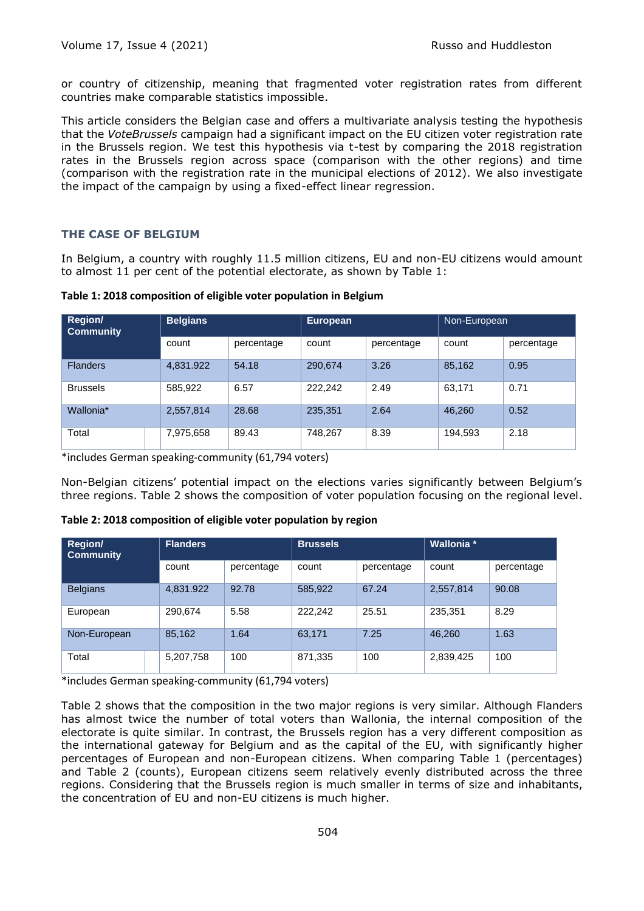or country of citizenship, meaning that fragmented voter registration rates from different countries make comparable statistics impossible.

This article considers the Belgian case and offers a multivariate analysis testing the hypothesis that the *VoteBrussels* campaign had a significant impact on the EU citizen voter registration rate in the Brussels region. We test this hypothesis via t-test by comparing the 2018 registration rates in the Brussels region across space (comparison with the other regions) and time (comparison with the registration rate in the municipal elections of 2012). We also investigate the impact of the campaign by using a fixed-effect linear regression.

# **THE CASE OF BELGIUM**

In Belgium, a country with roughly 11.5 million citizens, EU and non-EU citizens would amount to almost 11 per cent of the potential electorate, as shown by Table 1:

| Table 1: 2018 composition of eligible voter population in Belgium |  |  |
|-------------------------------------------------------------------|--|--|
|-------------------------------------------------------------------|--|--|

| <b>Region/</b><br><b>Community</b> | <b>Belgians</b> |            | <b>European</b> |            | Non-European |            |
|------------------------------------|-----------------|------------|-----------------|------------|--------------|------------|
|                                    | count           | percentage | count           | percentage | count        | percentage |
| <b>Flanders</b>                    | 4,831.922       | 54.18      | 290,674         | 3.26       | 85,162       | 0.95       |
| <b>Brussels</b>                    | 585,922         | 6.57       | 222.242         | 2.49       | 63,171       | 0.71       |
| Wallonia*                          | 2,557,814       | 28.68      | 235,351         | 2.64       | 46,260       | 0.52       |
| Total                              | 7,975,658       | 89.43      | 748,267         | 8.39       | 194,593      | 2.18       |

\*includes German speaking-community (61,794 voters)

Non-Belgian citizens' potential impact on the elections varies significantly between Belgium's three regions. Table 2 shows the composition of voter population focusing on the regional level.

| <b>Region/</b><br><b>Community</b> | <b>Flanders</b> |            | <b>Brussels</b> |            | <b>Wallonia</b> * |            |
|------------------------------------|-----------------|------------|-----------------|------------|-------------------|------------|
|                                    | count           | percentage | count           | percentage | count             | percentage |
| <b>Belgians</b>                    | 4,831.922       | 92.78      | 585,922         | 67.24      | 2,557,814         | 90.08      |
| European                           | 290.674         | 5.58       | 222.242         | 25.51      | 235,351           | 8.29       |
| Non-European                       | 85,162          | 1.64       | 63,171          | 7.25       | 46,260            | 1.63       |
| Total                              | 5,207,758       | 100        | 871,335         | 100        | 2,839,425         | 100        |

**Table 2: 2018 composition of eligible voter population by region**

\*includes German speaking-community (61,794 voters)

Table 2 shows that the composition in the two major regions is very similar. Although Flanders has almost twice the number of total voters than Wallonia, the internal composition of the electorate is quite similar. In contrast, the Brussels region has a very different composition as the international gateway for Belgium and as the capital of the EU, with significantly higher percentages of European and non-European citizens. When comparing Table 1 (percentages) and Table 2 (counts), European citizens seem relatively evenly distributed across the three regions. Considering that the Brussels region is much smaller in terms of size and inhabitants, the concentration of EU and non-EU citizens is much higher.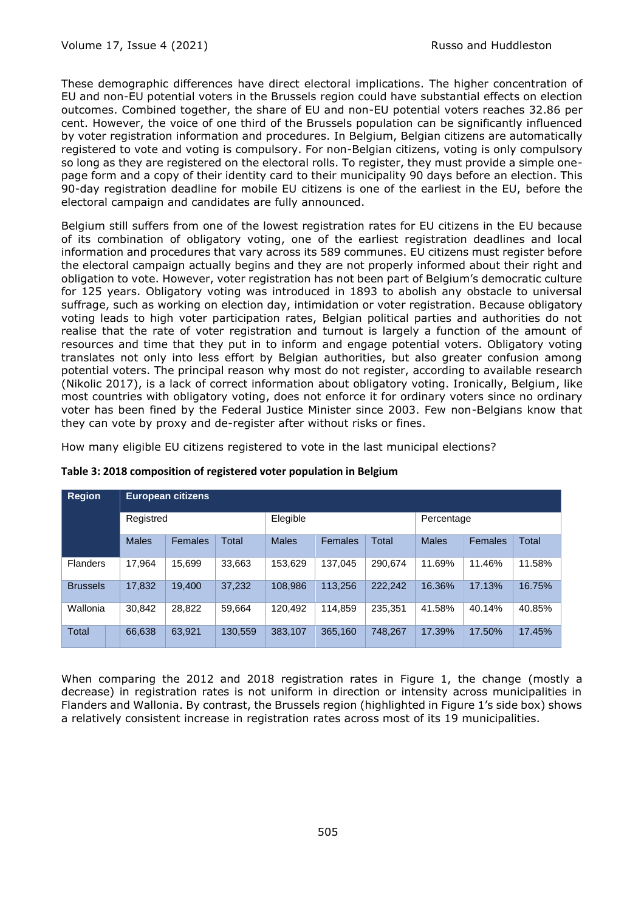These demographic differences have direct electoral implications. The higher concentration of EU and non-EU potential voters in the Brussels region could have substantial effects on election outcomes. Combined together, the share of EU and non-EU potential voters reaches 32.86 per cent. However, the voice of one third of the Brussels population can be significantly influenced by voter registration information and procedures. In Belgium, Belgian citizens are automatically registered to vote and voting is compulsory. For non-Belgian citizens, voting is only compulsory so long as they are registered on the electoral rolls. To register, they must provide a simple onepage form and a copy of their identity card to their municipality 90 days before an election. This 90-day registration deadline for mobile EU citizens is one of the earliest in the EU, before the electoral campaign and candidates are fully announced.

Belgium still suffers from one of the lowest registration rates for EU citizens in the EU because of its combination of obligatory voting, one of the earliest registration deadlines and local information and procedures that vary across its 589 communes. EU citizens must register before the electoral campaign actually begins and they are not properly informed about their right and obligation to vote. However, voter registration has not been part of Belgium's democratic culture for 125 years. Obligatory voting was introduced in 1893 to abolish any obstacle to universal suffrage, such as working on election day, intimidation or voter registration. Because obligatory voting leads to high voter participation rates, Belgian political parties and authorities do not realise that the rate of voter registration and turnout is largely a function of the amount of resources and time that they put in to inform and engage potential voters. Obligatory voting translates not only into less effort by Belgian authorities, but also greater confusion among potential voters. The principal reason why most do not register, according to available research (Nikolic 2017), is a lack of correct information about obligatory voting. Ironically, Belgium, like most countries with obligatory voting, does not enforce it for ordinary voters since no ordinary voter has been fined by the Federal Justice Minister since 2003. Few non-Belgians know that they can vote by proxy and de-register after without risks or fines.

How many eligible EU citizens registered to vote in the last municipal elections?

| <b>Region</b>   | <b>European citizens</b> |                |         |              |                |         |              |         |        |
|-----------------|--------------------------|----------------|---------|--------------|----------------|---------|--------------|---------|--------|
|                 | Registred                |                |         | Elegible     |                |         | Percentage   |         |        |
|                 | <b>Males</b>             | <b>Females</b> | Total   | <b>Males</b> | <b>Females</b> | Total   | <b>Males</b> | Females | Total  |
| <b>Flanders</b> | 17,964                   | 15.699         | 33,663  | 153,629      | 137.045        | 290.674 | 11.69%       | 11.46%  | 11.58% |
| <b>Brussels</b> | 17,832                   | 19.400         | 37,232  | 108,986      | 113,256        | 222,242 | 16.36%       | 17.13%  | 16.75% |
| Wallonia        | 30.842                   | 28.822         | 59,664  | 120.492      | 114.859        | 235.351 | 41.58%       | 40.14%  | 40.85% |
| Total           | 66,638                   | 63,921         | 130,559 | 383.107      | 365,160        | 748.267 | 17.39%       | 17.50%  | 17.45% |

## **Table 3: 2018 composition of registered voter population in Belgium**

When comparing the 2012 and 2018 registration rates in Figure 1, the change (mostly a decrease) in registration rates is not uniform in direction or intensity across municipalities in Flanders and Wallonia. By contrast, the Brussels region (highlighted in Figure 1's side box) shows a relatively consistent increase in registration rates across most of its 19 municipalities.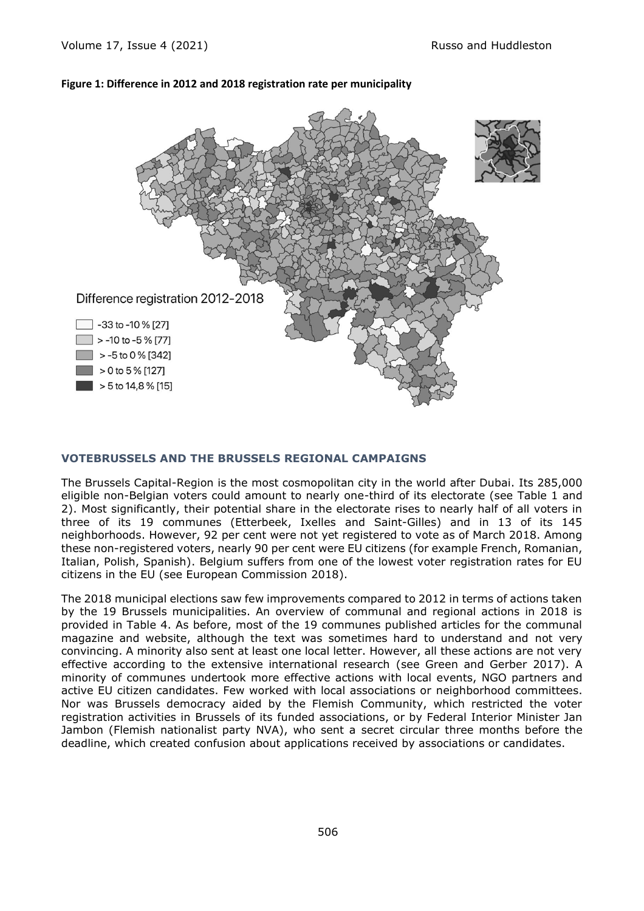#### **Figure 1: Difference in 2012 and 2018 registration rate per municipality**



#### **VOTEBRUSSELS AND THE BRUSSELS REGIONAL CAMPAIGNS**

The Brussels Capital-Region is the most cosmopolitan city in the world after Dubai. Its 285,000 eligible non-Belgian voters could amount to nearly one-third of its electorate (see Table 1 and 2). Most significantly, their potential share in the electorate rises to nearly half of all voters in three of its 19 communes (Etterbeek, Ixelles and Saint-Gilles) and in 13 of its 145 neighborhoods. However, 92 per cent were not yet registered to vote as of March 2018. Among these non-registered voters, nearly 90 per cent were EU citizens (for example French, Romanian, Italian, Polish, Spanish). Belgium suffers from one of the lowest voter registration rates for EU citizens in the EU (see European Commission 2018).

The 2018 municipal elections saw few improvements compared to 2012 in terms of actions taken by the 19 Brussels municipalities. An overview of communal and regional actions in 2018 is provided in Table 4. As before, most of the 19 communes published articles for the communal magazine and website, although the text was sometimes hard to understand and not very convincing. A minority also sent at least one local letter. However, all these actions are not very effective according to the extensive international research (see Green and Gerber 2017). A minority of communes undertook more effective actions with local events, NGO partners and active EU citizen candidates. Few worked with local associations or neighborhood committees. Nor was Brussels democracy aided by the Flemish Community, which restricted the voter registration activities in Brussels of its funded associations, or by Federal Interior Minister Jan Jambon (Flemish nationalist party NVA), who sent a secret circular three months before the deadline, which created confusion about applications received by associations or candidates.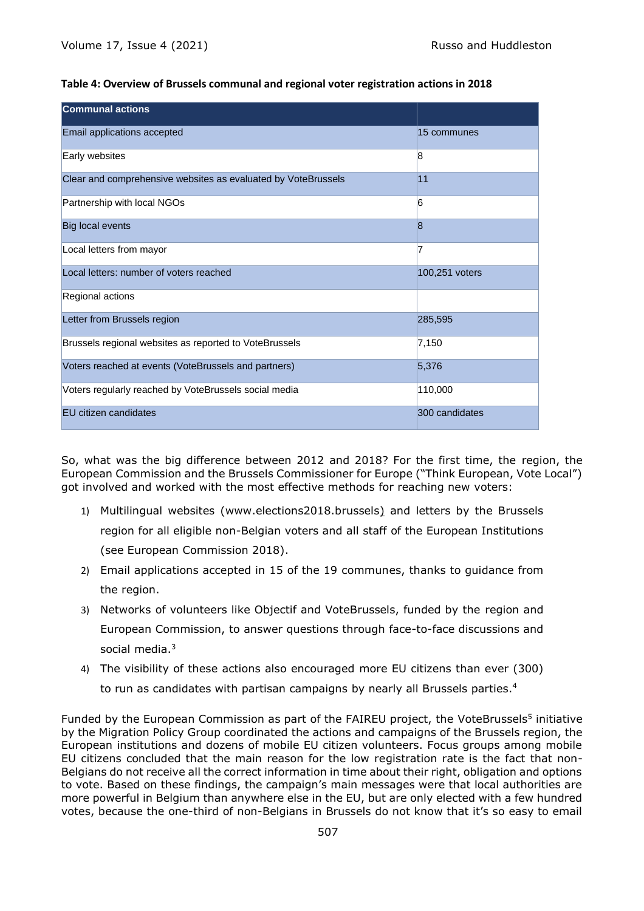#### **Table 4: Overview of Brussels communal and regional voter registration actions in 2018**

| <b>Communal actions</b>                                       |                |
|---------------------------------------------------------------|----------------|
| Email applications accepted                                   | 15 communes    |
| Early websites                                                | 8              |
| Clear and comprehensive websites as evaluated by VoteBrussels | 11             |
| Partnership with local NGOs                                   | 6              |
| <b>Big local events</b>                                       | $\overline{8}$ |
| Local letters from mayor                                      | 7              |
| Local letters: number of voters reached                       | 100,251 voters |
| Regional actions                                              |                |
| Letter from Brussels region                                   | 285,595        |
| Brussels regional websites as reported to VoteBrussels        | 7,150          |
| Voters reached at events (VoteBrussels and partners)          | 5,376          |
| Voters regularly reached by VoteBrussels social media         | 110,000        |
| EU citizen candidates                                         | 300 candidates |

So, what was the big difference between 2012 and 2018? For the first time, the region, the European Commission and the Brussels Commissioner for Europe ("Think European, Vote Local") got involved and worked with the most effective methods for reaching new voters:

- 1) Multilingual websites (www.elections2018.brussels) and letters by the Brussels region for all eligible non-Belgian voters and all staff of the European Institutions (see European Commission 2018).
- 2) Email applications accepted in 15 of the 19 communes, thanks to guidance from the region.
- 3) Networks of volunteers like Objectif and VoteBrussels, funded by the region and European Commission, to answer questions through face-to-face discussions and social media. 3
- 4) The visibility of these actions also encouraged more EU citizens than ever (300) to run as candidates with partisan campaigns by nearly all Brussels parties. 4

Funded by the European Commission as part of the FAIREU project, the VoteBrussels<sup>5</sup> initiative by the Migration Policy Group coordinated the actions and campaigns of the Brussels region, the European institutions and dozens of mobile EU citizen volunteers. Focus groups among mobile EU citizens concluded that the main reason for the low registration rate is the fact that non-Belgians do not receive all the correct information in time about their right, obligation and options to vote. Based on these findings, the campaign's main messages were that local authorities are more powerful in Belgium than anywhere else in the EU, but are only elected with a few hundred votes, because the one-third of non-Belgians in Brussels do not know that it's so easy to email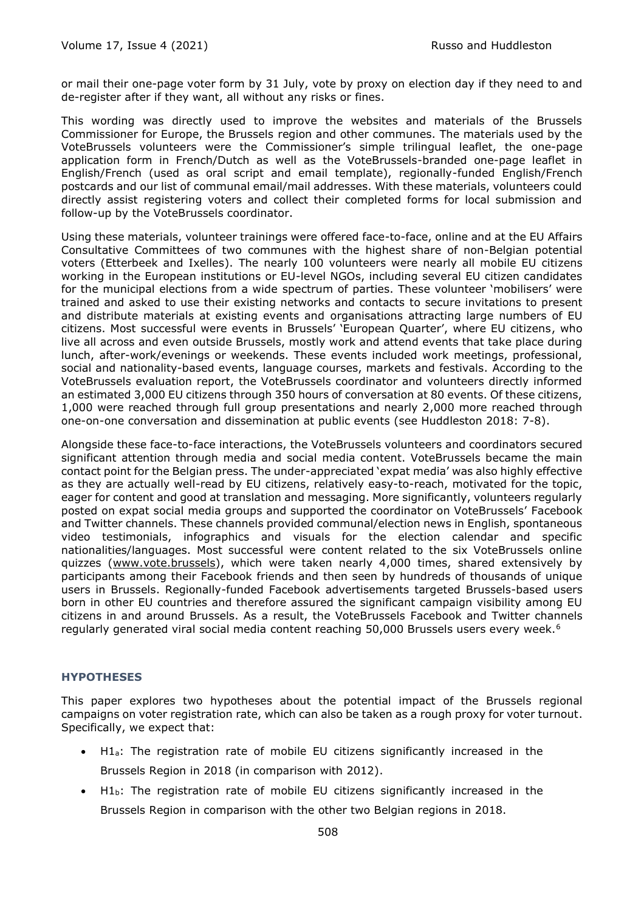or mail their one-page voter form by 31 July, vote by proxy on election day if they need to and de-register after if they want, all without any risks or fines.

This wording was directly used to improve the websites and materials of the Brussels Commissioner for Europe, the Brussels region and other communes. The materials used by the VoteBrussels volunteers were the Commissioner's simple trilingual leaflet, the one-page application form in French/Dutch as well as the VoteBrussels-branded one-page leaflet in English/French (used as oral script and email template), regionally-funded English/French postcards and our list of communal email/mail addresses. With these materials, volunteers could directly assist registering voters and collect their completed forms for local submission and follow-up by the VoteBrussels coordinator.

Using these materials, volunteer trainings were offered face-to-face, online and at the EU Affairs Consultative Committees of two communes with the highest share of non-Belgian potential voters (Etterbeek and Ixelles). The nearly 100 volunteers were nearly all mobile EU citizens working in the European institutions or EU-level NGOs, including several EU citizen candidates for the municipal elections from a wide spectrum of parties. These volunteer 'mobilisers' were trained and asked to use their existing networks and contacts to secure invitations to present and distribute materials at existing events and organisations attracting large numbers of EU citizens. Most successful were events in Brussels' 'European Quarter', where EU citizens, who live all across and even outside Brussels, mostly work and attend events that take place during lunch, after-work/evenings or weekends. These events included work meetings, professional, social and nationality-based events, language courses, markets and festivals. According to the VoteBrussels evaluation report, the VoteBrussels coordinator and volunteers directly informed an estimated 3,000 EU citizens through 350 hours of conversation at 80 events. Of these citizens, 1,000 were reached through full group presentations and nearly 2,000 more reached through one-on-one conversation and dissemination at public events (see Huddleston 2018: 7-8).

Alongside these face-to-face interactions, the VoteBrussels volunteers and coordinators secured significant attention through media and social media content. VoteBrussels became the main contact point for the Belgian press. The under-appreciated 'expat media' was also highly effective as they are actually well-read by EU citizens, relatively easy-to-reach, motivated for the topic, eager for content and good at translation and messaging. More significantly, volunteers regularly posted on expat social media groups and supported the coordinator on VoteBrussels' Facebook and Twitter channels. These channels provided communal/election news in English, spontaneous video testimonials, infographics and visuals for the election calendar and specific nationalities/languages. Most successful were content related to the six VoteBrussels online quizzes [\(www.vote.brussels\)](about:blank), which were taken nearly 4,000 times, shared extensively by participants among their Facebook friends and then seen by hundreds of thousands of unique users in Brussels. Regionally-funded Facebook advertisements targeted Brussels-based users born in other EU countries and therefore assured the significant campaign visibility among EU citizens in and around Brussels. As a result, the VoteBrussels Facebook and Twitter channels regularly generated viral social media content reaching 50,000 Brussels users every week.<sup>6</sup>

## **HYPOTHESES**

This paper explores two hypotheses about the potential impact of the Brussels regional campaigns on voter registration rate, which can also be taken as a rough proxy for voter turnout. Specifically, we expect that:

- H1a: The registration rate of mobile EU citizens significantly increased in the Brussels Region in 2018 (in comparison with 2012).
- H1b: The registration rate of mobile EU citizens significantly increased in the Brussels Region in comparison with the other two Belgian regions in 2018.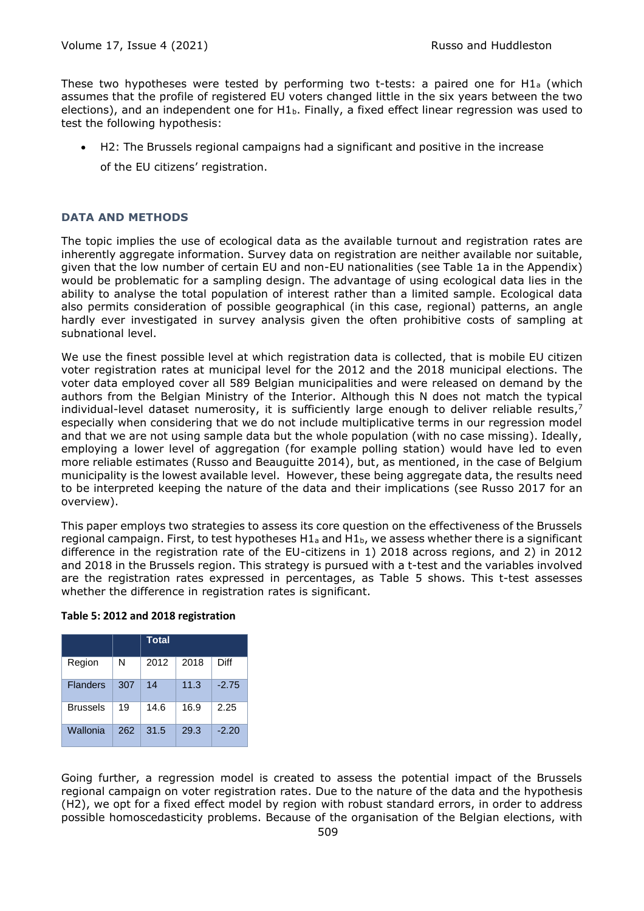These two hypotheses were tested by performing two t-tests: a paired one for H1 $_{a}$  (which assumes that the profile of registered EU voters changed little in the six years between the two elections), and an independent one for  $H1<sub>b</sub>$ . Finally, a fixed effect linear regression was used to test the following hypothesis:

- H2: The Brussels regional campaigns had a significant and positive in the increase
	- of the EU citizens' registration.

## **DATA AND METHODS**

The topic implies the use of ecological data as the available turnout and registration rates are inherently aggregate information. Survey data on registration are neither available nor suitable, given that the low number of certain EU and non-EU nationalities (see Table 1a in the Appendix) would be problematic for a sampling design. The advantage of using ecological data lies in the ability to analyse the total population of interest rather than a limited sample. Ecological data also permits consideration of possible geographical (in this case, regional) patterns, an angle hardly ever investigated in survey analysis given the often prohibitive costs of sampling at subnational level.

We use the finest possible level at which registration data is collected, that is mobile EU citizen voter registration rates at municipal level for the 2012 and the 2018 municipal elections. The voter data employed cover all 589 Belgian municipalities and were released on demand by the authors from the Belgian Ministry of the Interior. Although this N does not match the typical individual-level dataset numerosity, it is sufficiently large enough to deliver reliable results,<sup>7</sup> especially when considering that we do not include multiplicative terms in our regression model and that we are not using sample data but the whole population (with no case missing). Ideally, employing a lower level of aggregation (for example polling station) would have led to even more reliable estimates (Russo and Beauguitte 2014), but, as mentioned, in the case of Belgium municipality is the lowest available level. However, these being aggregate data, the results need to be interpreted keeping the nature of the data and their implications (see Russo 2017 for an overview).

This paper employs two strategies to assess its core question on the effectiveness of the Brussels regional campaign. First, to test hypotheses  $H1_a$  and  $H1_b$ , we assess whether there is a significant difference in the registration rate of the EU-citizens in 1) 2018 across regions, and 2) in 2012 and 2018 in the Brussels region. This strategy is pursued with a t-test and the variables involved are the registration rates expressed in percentages, as Table 5 shows. This t-test assesses whether the difference in registration rates is significant.

#### **Table 5: 2012 and 2018 registration**

|                 |     | Total |      |         |
|-----------------|-----|-------|------|---------|
| Region          | N   | 2012  | 2018 | Diff    |
| <b>Flanders</b> | 307 | 14    | 11.3 | $-2.75$ |
| <b>Brussels</b> | 19  | 14.6  | 16.9 | 2.25    |
| Wallonia        | 262 | 31.5  | 29.3 | $-2.20$ |

Going further, a regression model is created to assess the potential impact of the Brussels regional campaign on voter registration rates. Due to the nature of the data and the hypothesis (H2), we opt for a fixed effect model by region with robust standard errors, in order to address possible homoscedasticity problems. Because of the organisation of the Belgian elections, with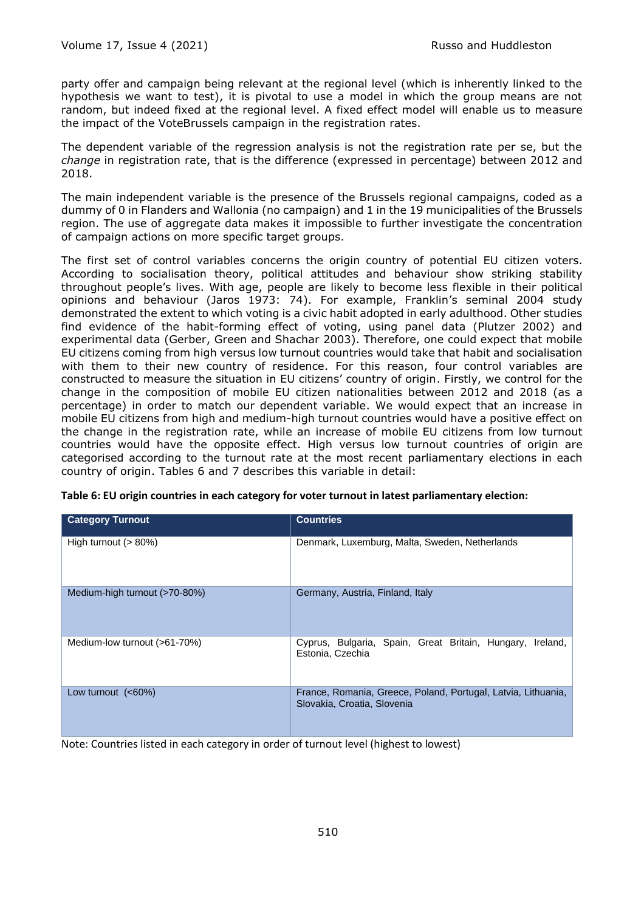party offer and campaign being relevant at the regional level (which is inherently linked to the hypothesis we want to test), it is pivotal to use a model in which the group means are not random, but indeed fixed at the regional level. A fixed effect model will enable us to measure the impact of the VoteBrussels campaign in the registration rates.

The dependent variable of the regression analysis is not the registration rate per se, but the *change* in registration rate, that is the difference (expressed in percentage) between 2012 and 2018.

The main independent variable is the presence of the Brussels regional campaigns, coded as a dummy of 0 in Flanders and Wallonia (no campaign) and 1 in the 19 municipalities of the Brussels region. The use of aggregate data makes it impossible to further investigate the concentration of campaign actions on more specific target groups.

The first set of control variables concerns the origin country of potential EU citizen voters. According to socialisation theory, political attitudes and behaviour show striking stability throughout people's lives. With age, people are likely to become less flexible in their political opinions and behaviour (Jaros 1973: 74). For example, Franklin's seminal 2004 study demonstrated the extent to which voting is a civic habit adopted in early adulthood. Other studies find evidence of the habit-forming effect of voting, using panel data (Plutzer 2002) and experimental data (Gerber, Green and Shachar 2003). Therefore, one could expect that mobile EU citizens coming from high versus low turnout countries would take that habit and socialisation with them to their new country of residence. For this reason, four control variables are constructed to measure the situation in EU citizens' country of origin. Firstly, we control for the change in the composition of mobile EU citizen nationalities between 2012 and 2018 (as a percentage) in order to match our dependent variable. We would expect that an increase in mobile EU citizens from high and medium-high turnout countries would have a positive effect on the change in the registration rate, while an increase of mobile EU citizens from low turnout countries would have the opposite effect. High versus low turnout countries of origin are categorised according to the turnout rate at the most recent parliamentary elections in each country of origin. Tables 6 and 7 describes this variable in detail:

| <b>Category Turnout</b>       | <b>Countries</b>                                                                             |
|-------------------------------|----------------------------------------------------------------------------------------------|
| High turnout $(> 80\%)$       | Denmark, Luxemburg, Malta, Sweden, Netherlands                                               |
| Medium-high turnout (>70-80%) | Germany, Austria, Finland, Italy                                                             |
| Medium-low turnout (>61-70%)  | Cyprus, Bulgaria, Spain, Great Britain, Hungary,<br>Ireland.<br>Estonia, Czechia             |
| Low turnout $(<60\%)$         | France, Romania, Greece, Poland, Portugal, Latvia, Lithuania,<br>Slovakia, Croatia, Slovenia |

**Table 6: EU origin countries in each category for voter turnout in latest parliamentary election:**

Note: Countries listed in each category in order of turnout level (highest to lowest)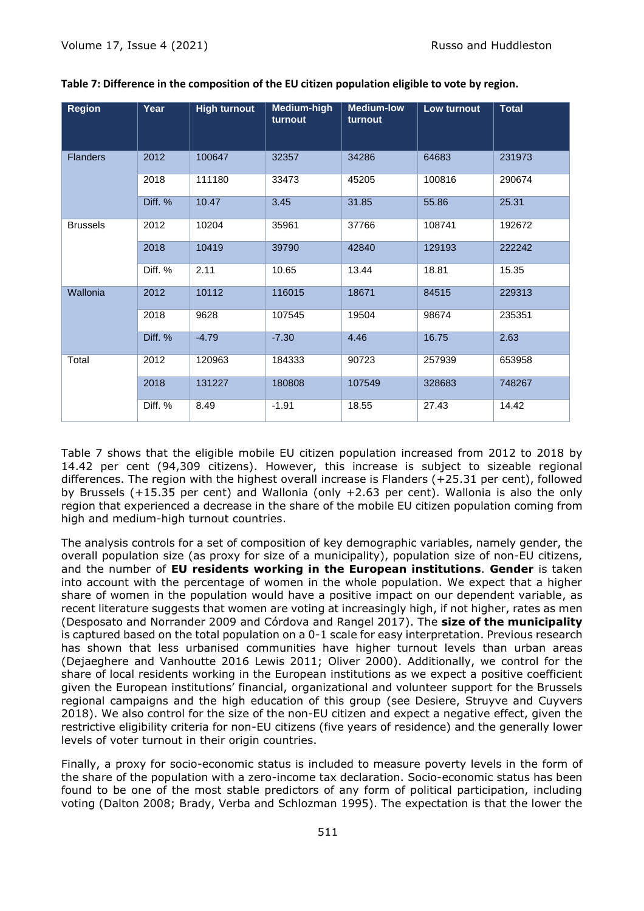| <b>Region</b>   | Year    | <b>High turnout</b> | Medium-high<br>turnout | <b>Medium-low</b><br>turnout | Low turnout | <b>Total</b> |
|-----------------|---------|---------------------|------------------------|------------------------------|-------------|--------------|
| <b>Flanders</b> | 2012    | 100647              | 32357                  | 34286                        | 64683       | 231973       |
|                 | 2018    | 111180              | 33473                  | 45205                        | 100816      | 290674       |
|                 | Diff. % | 10.47               | 3.45                   | 31.85                        | 55.86       | 25.31        |
| <b>Brussels</b> | 2012    | 10204               | 35961                  | 37766                        | 108741      | 192672       |
|                 | 2018    | 10419               | 39790                  | 42840                        | 129193      | 222242       |
|                 | Diff. % | 2.11                | 10.65                  | 13.44                        | 18.81       | 15.35        |
| Wallonia        | 2012    | 10112               | 116015                 | 18671                        | 84515       | 229313       |
|                 | 2018    | 9628                | 107545                 | 19504                        | 98674       | 235351       |
|                 | Diff. % | $-4.79$             | $-7.30$                | 4.46                         | 16.75       | 2.63         |
| Total           | 2012    | 120963              | 184333                 | 90723                        | 257939      | 653958       |
|                 | 2018    | 131227              | 180808                 | 107549                       | 328683      | 748267       |
|                 | Diff. % | 8.49                | $-1.91$                | 18.55                        | 27.43       | 14.42        |

## **Table 7: Difference in the composition of the EU citizen population eligible to vote by region.**

Table 7 shows that the eligible mobile EU citizen population increased from 2012 to 2018 by 14.42 per cent (94,309 citizens). However, this increase is subject to sizeable regional differences. The region with the highest overall increase is Flanders (+25.31 per cent), followed by Brussels (+15.35 per cent) and Wallonia (only +2.63 per cent). Wallonia is also the only region that experienced a decrease in the share of the mobile EU citizen population coming from high and medium-high turnout countries.

The analysis controls for a set of composition of key demographic variables, namely gender, the overall population size (as proxy for size of a municipality), population size of non-EU citizens, and the number of **EU residents working in the European institutions**. **Gender** is taken into account with the percentage of women in the whole population. We expect that a higher share of women in the population would have a positive impact on our dependent variable, as recent literature suggests that women are voting at increasingly high, if not higher, rates as men (Desposato and Norrander 2009 and Córdova and Rangel 2017). The **size of the municipality** is captured based on the total population on a 0-1 scale for easy interpretation. Previous research has shown that less urbanised communities have higher turnout levels than urban areas (Dejaeghere and Vanhoutte 2016 Lewis 2011; Oliver 2000). Additionally, we control for the share of local residents working in the European institutions as we expect a positive coefficient given the European institutions' financial, organizational and volunteer support for the Brussels regional campaigns and the high education of this group (see Desiere, Struyve and Cuyvers 2018). We also control for the size of the non-EU citizen and expect a negative effect, given the restrictive eligibility criteria for non-EU citizens (five years of residence) and the generally lower levels of voter turnout in their origin countries.

Finally, a proxy for socio-economic status is included to measure poverty levels in the form of the share of the population with a zero-income tax declaration. Socio-economic status has been found to be one of the most stable predictors of any form of political participation, including voting (Dalton 2008; Brady, Verba and Schlozman 1995). The expectation is that the lower the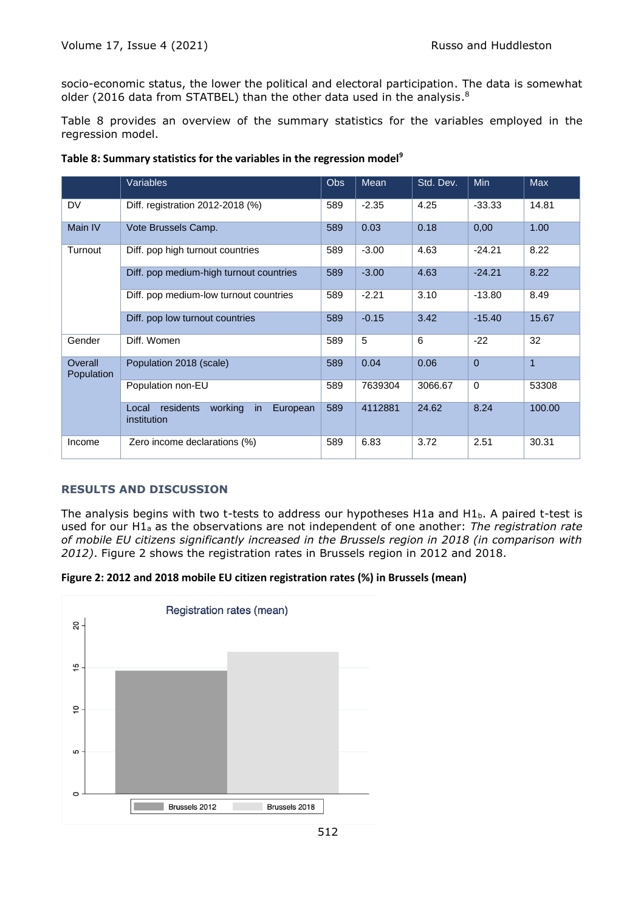socio-economic status, the lower the political and electoral participation. The data is somewhat older (2016 data from STATBEL) than the other data used in the analysis. $^8$ 

Table 8 provides an overview of the summary statistics for the variables employed in the regression model.

|                       | <b>Variables</b>                                               | <b>Obs</b> | Mean    | Std. Dev. | Min            | <b>Max</b>   |
|-----------------------|----------------------------------------------------------------|------------|---------|-----------|----------------|--------------|
| DV                    | Diff. registration 2012-2018 (%)                               | 589        | $-2.35$ | 4.25      | $-33.33$       | 14.81        |
| Main IV               | Vote Brussels Camp.                                            | 589        | 0.03    | 0.18      | 0,00           | 1.00         |
| Turnout               | Diff. pop high turnout countries                               | 589        | $-3.00$ | 4.63      | $-24.21$       | 8.22         |
|                       | Diff. pop medium-high turnout countries                        | 589        | $-3.00$ | 4.63      | $-24.21$       | 8.22         |
|                       | Diff. pop medium-low turnout countries                         | 589        | $-2.21$ | 3.10      | $-13.80$       | 8.49         |
|                       | Diff. pop low turnout countries                                | 589        | $-0.15$ | 3.42      | $-15.40$       | 15.67        |
| Gender                | Diff. Women                                                    | 589        | 5       | 6         | $-22$          | 32           |
| Overall<br>Population | Population 2018 (scale)                                        | 589        | 0.04    | 0.06      | $\overline{0}$ | $\mathbf{1}$ |
|                       | Population non-EU                                              | 589        | 7639304 | 3066.67   | $\Omega$       | 53308        |
|                       | residents<br>working<br>Local<br>European<br>in<br>institution | 589        | 4112881 | 24.62     | 8.24           | 100.00       |
| Income                | Zero income declarations (%)                                   | 589        | 6.83    | 3.72      | 2.51           | 30.31        |

## **RESULTS AND DISCUSSION**

The analysis begins with two t-tests to address our hypotheses H1a and H1b. A paired t-test is used for our H1<sup>a</sup> as the observations are not independent of one another: *The registration rate of mobile EU citizens significantly increased in the Brussels region in 2018 (in comparison with 2012)*. Figure 2 shows the registration rates in Brussels region in 2012 and 2018.



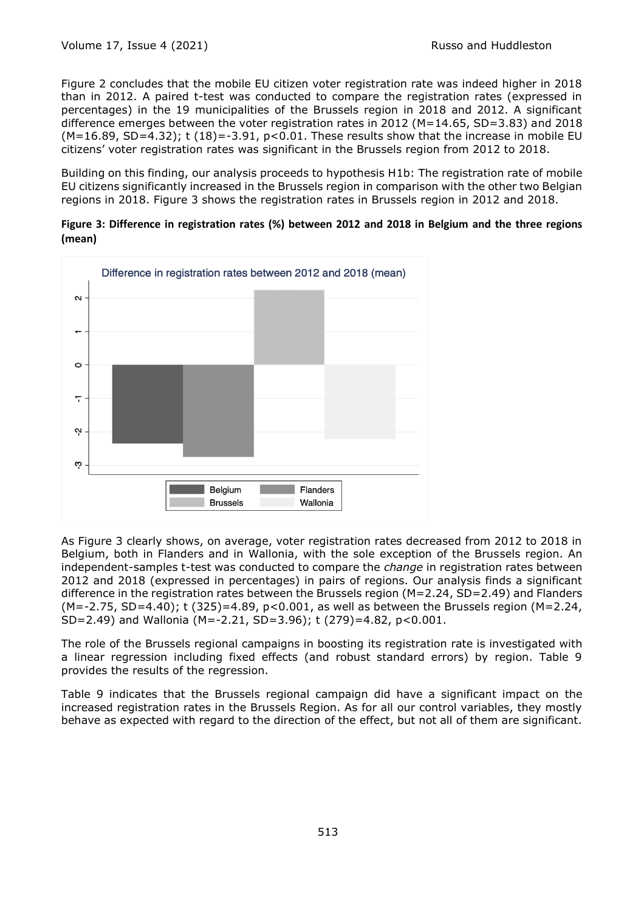Figure 2 concludes that the mobile EU citizen voter registration rate was indeed higher in 2018 than in 2012. A paired t-test was conducted to compare the registration rates (expressed in percentages) in the 19 municipalities of the Brussels region in 2018 and 2012. A significant difference emerges between the voter registration rates in 2012 (M=14.65, SD=3.83) and 2018  $(M=16.89, SD=4.32)$ ; t  $(18) = -3.91$ ,  $p < 0.01$ . These results show that the increase in mobile EU citizens' voter registration rates was significant in the Brussels region from 2012 to 2018.

Building on this finding, our analysis proceeds to hypothesis H1b: The registration rate of mobile EU citizens significantly increased in the Brussels region in comparison with the other two Belgian regions in 2018. Figure 3 shows the registration rates in Brussels region in 2012 and 2018.

**Figure 3: Difference in registration rates (%) between 2012 and 2018 in Belgium and the three regions (mean)**



As Figure 3 clearly shows, on average, voter registration rates decreased from 2012 to 2018 in Belgium, both in Flanders and in Wallonia, with the sole exception of the Brussels region. An independent-samples t-test was conducted to compare the *change* in registration rates between 2012 and 2018 (expressed in percentages) in pairs of regions. Our analysis finds a significant difference in the registration rates between the Brussels region (M=2.24, SD=2.49) and Flanders (M=-2.75, SD=4.40); t (325)=4.89, p<0.001, as well as between the Brussels region (M=2.24, SD=2.49) and Wallonia (M=-2.21, SD=3.96); t (279)=4.82, p<0.001.

The role of the Brussels regional campaigns in boosting its registration rate is investigated with a linear regression including fixed effects (and robust standard errors) by region. Table 9 provides the results of the regression.

Table 9 indicates that the Brussels regional campaign did have a significant impact on the increased registration rates in the Brussels Region. As for all our control variables, they mostly behave as expected with regard to the direction of the effect, but not all of them are significant.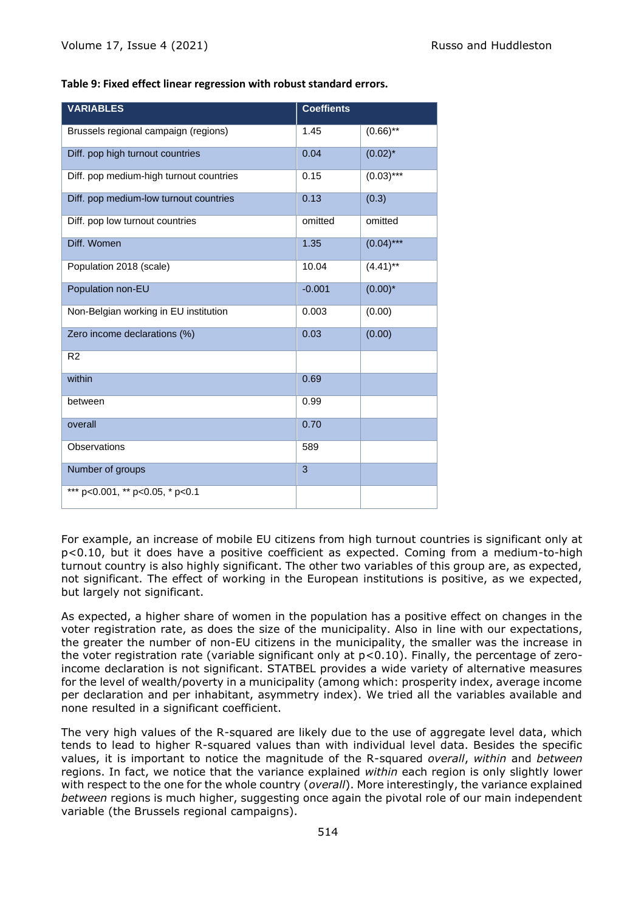|  | Table 9: Fixed effect linear regression with robust standard errors. |
|--|----------------------------------------------------------------------|
|--|----------------------------------------------------------------------|

| <b>VARIABLES</b>                        | <b>Coeffients</b> |              |
|-----------------------------------------|-------------------|--------------|
| Brussels regional campaign (regions)    | 1.45              | $(0.66)$ **  |
| Diff. pop high turnout countries        | 0.04              | $(0.02)^{*}$ |
| Diff. pop medium-high turnout countries | 0.15              | $(0.03)***$  |
| Diff. pop medium-low turnout countries  | 0.13              | (0.3)        |
| Diff. pop low turnout countries         | omitted           | omitted      |
| Diff. Women                             | 1.35              | $(0.04)***$  |
| Population 2018 (scale)                 | 10.04             | $(4.41)$ **  |
| Population non-EU                       | $-0.001$          | $(0.00)*$    |
| Non-Belgian working in EU institution   | 0.003             | (0.00)       |
| Zero income declarations (%)            | 0.03              | (0.00)       |
| R <sub>2</sub>                          |                   |              |
| within                                  | 0.69              |              |
| between                                 | 0.99              |              |
| overall                                 | 0.70              |              |
| Observations                            | 589               |              |
| Number of groups                        | 3                 |              |
| *** p<0.001, ** p<0.05, * p<0.1         |                   |              |

For example, an increase of mobile EU citizens from high turnout countries is significant only at p<0.10, but it does have a positive coefficient as expected. Coming from a medium-to-high turnout country is also highly significant. The other two variables of this group are, as expected, not significant. The effect of working in the European institutions is positive, as we expected, but largely not significant.

As expected, a higher share of women in the population has a positive effect on changes in the voter registration rate, as does the size of the municipality. Also in line with our expectations, the greater the number of non-EU citizens in the municipality, the smaller was the increase in the voter registration rate (variable significant only at  $p<0.10$ ). Finally, the percentage of zeroincome declaration is not significant. STATBEL provides a wide variety of alternative measures for the level of wealth/poverty in a municipality (among which: prosperity index, average income per declaration and per inhabitant, asymmetry index). We tried all the variables available and none resulted in a significant coefficient.

The very high values of the R-squared are likely due to the use of aggregate level data, which tends to lead to higher R-squared values than with individual level data. Besides the specific values, it is important to notice the magnitude of the R-squared *overall*, *within* and *between* regions. In fact, we notice that the variance explained *within* each region is only slightly lower with respect to the one for the whole country (*overall*). More interestingly, the variance explained *between* regions is much higher, suggesting once again the pivotal role of our main independent variable (the Brussels regional campaigns).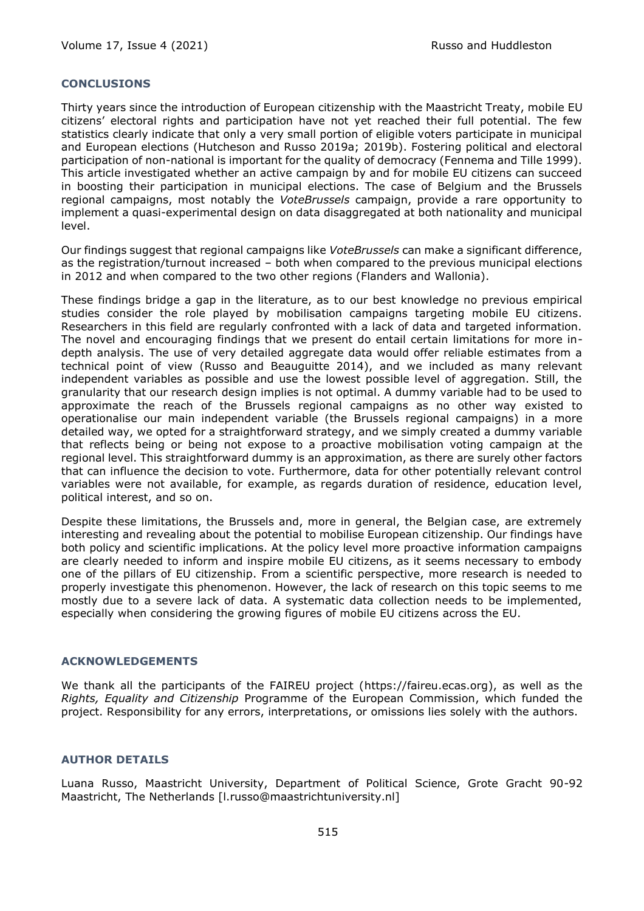#### **CONCLUSIONS**

Thirty years since the introduction of European citizenship with the Maastricht Treaty, mobile EU citizens' electoral rights and participation have not yet reached their full potential. The few statistics clearly indicate that only a very small portion of eligible voters participate in municipal and European elections (Hutcheson and Russo 2019a; 2019b). Fostering political and electoral participation of non-national is important for the quality of democracy (Fennema and Tille 1999). This article investigated whether an active campaign by and for mobile EU citizens can succeed in boosting their participation in municipal elections. The case of Belgium and the Brussels regional campaigns, most notably the *VoteBrussels* campaign, provide a rare opportunity to implement a quasi-experimental design on data disaggregated at both nationality and municipal level.

Our findings suggest that regional campaigns like *VoteBrussels* can make a significant difference, as the registration/turnout increased – both when compared to the previous municipal elections in 2012 and when compared to the two other regions (Flanders and Wallonia).

These findings bridge a gap in the literature, as to our best knowledge no previous empirical studies consider the role played by mobilisation campaigns targeting mobile EU citizens. Researchers in this field are regularly confronted with a lack of data and targeted information. The novel and encouraging findings that we present do entail certain limitations for more indepth analysis. The use of very detailed aggregate data would offer reliable estimates from a technical point of view (Russo and Beauguitte 2014), and we included as many relevant independent variables as possible and use the lowest possible level of aggregation. Still, the granularity that our research design implies is not optimal. A dummy variable had to be used to approximate the reach of the Brussels regional campaigns as no other way existed to operationalise our main independent variable (the Brussels regional campaigns) in a more detailed way, we opted for a straightforward strategy, and we simply created a dummy variable that reflects being or being not expose to a proactive mobilisation voting campaign at the regional level. This straightforward dummy is an approximation, as there are surely other factors that can influence the decision to vote. Furthermore, data for other potentially relevant control variables were not available, for example, as regards duration of residence, education level, political interest, and so on.

Despite these limitations, the Brussels and, more in general, the Belgian case, are extremely interesting and revealing about the potential to mobilise European citizenship. Our findings have both policy and scientific implications. At the policy level more proactive information campaigns are clearly needed to inform and inspire mobile EU citizens, as it seems necessary to embody one of the pillars of EU citizenship. From a scientific perspective, more research is needed to properly investigate this phenomenon. However, the lack of research on this topic seems to me mostly due to a severe lack of data. A systematic data collection needs to be implemented, especially when considering the growing figures of mobile EU citizens across the EU.

#### **ACKNOWLEDGEMENTS**

We thank all the participants of the FAIREU project (https://faireu.ecas.org), as well as the *Rights, Equality and Citizenship* Programme of the European Commission, which funded the project. Responsibility for any errors, interpretations, or omissions lies solely with the authors.

#### **AUTHOR DETAILS**

Luana Russo, Maastricht University, Department of Political Science, Grote Gracht 90-92 Maastricht, The Netherlands [l.russo@maastrichtuniversity.nl]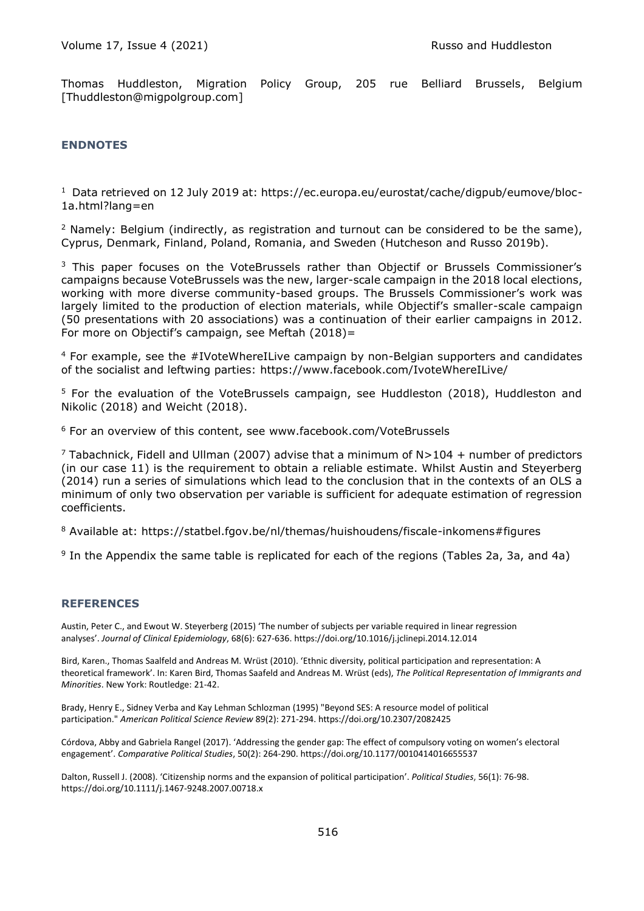Thomas Huddleston, Migration Policy Group, 205 rue Belliard Brussels, Belgium [Thuddleston@migpolgroup.com]

#### **ENDNOTES**

1 Data retrieved on 12 July 2019 at: https://ec.europa.eu/eurostat/cache/digpub/eumove/bloc-1a.html?lang=en

 $2$  Namely: Belgium (indirectly, as registration and turnout can be considered to be the same), Cyprus, Denmark, Finland, Poland, Romania, and Sweden (Hutcheson and Russo 2019b).

<sup>3</sup> This paper focuses on the VoteBrussels rather than Objectif or Brussels Commissioner's campaigns because VoteBrussels was the new, larger-scale campaign in the 2018 local elections, working with more diverse community-based groups. The Brussels Commissioner's work was largely limited to the production of election materials, while Objectif's smaller-scale campaign (50 presentations with 20 associations) was a continuation of their earlier campaigns in 2012. For more on Objectif's campaign, see Meftah (2018)=

 $4$  For example, see the  $\#$ IVoteWhereILive campaign by non-Belgian supporters and candidates of the socialist and leftwing parties: https://www.facebook.com/IvoteWhereILive/

<sup>5</sup> For the evaluation of the VoteBrussels campaign, see Huddleston (2018), Huddleston and Nikolic (2018) and Weicht (2018).

<sup>6</sup> For an overview of this content, see www.facebook.com/VoteBrussels

<sup>7</sup> Tabachnick, Fidell and Ullman (2007) advise that a minimum of  $N>104 +$  number of predictors (in our case 11) is the requirement to obtain a reliable estimate. Whilst Austin and Steyerberg (2014) run a series of simulations which lead to the conclusion that in the contexts of an OLS a minimum of only two observation per variable is sufficient for adequate estimation of regression coefficients.

<sup>8</sup> Available at: https://statbel.fgov.be/nl/themas/huishoudens/fiscale-inkomens#figures

<sup>9</sup> In the Appendix the same table is replicated for each of the regions (Tables 2a, 3a, and 4a)

#### **REFERENCES**

Austin, Peter C., and Ewout W. Steyerberg (2015) 'The number of subjects per variable required in linear regression analyses'. *Journal of Clinical Epidemiology*, 68(6): 627-636. https://doi.org/10.1016/j.jclinepi.2014.12.014

Bird, Karen., Thomas Saalfeld and Andreas M. Wrüst (2010). 'Ethnic diversity, political participation and representation: A theoretical framework'. In: Karen Bird, Thomas Saafeld and Andreas M. Wrüst (eds), *The Political Representation of Immigrants and Minorities*. New York: Routledge: 21-42.

Brady, Henry E., Sidney Verba and Kay Lehman Schlozman (1995) "Beyond SES: A resource model of political participation." *American Political Science Review* 89(2): 271-294. https://doi.org/10.2307/2082425

Córdova, Abby and Gabriela Rangel (2017). 'Addressing the gender gap: The effect of compulsory voting on women's electoral engagement'. *Comparative Political Studies*, 50(2): 264-290. https://doi.org/10.1177/0010414016655537

Dalton, Russell J. (2008). 'Citizenship norms and the expansion of political participation'. *Political Studies*, 56(1): 76-98. https://doi.org/10.1111/j.1467-9248.2007.00718.x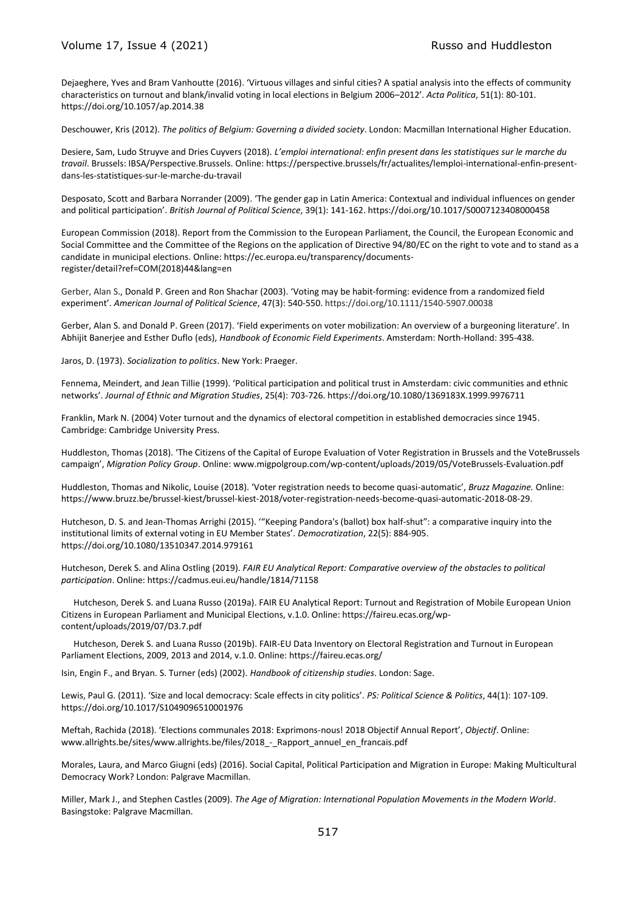#### Volume 17, Issue 4 (2021) The Contract of the Russo and Huddleston

Dejaeghere, Yves and Bram Vanhoutte (2016). 'Virtuous villages and sinful cities? A spatial analysis into the effects of community characteristics on turnout and blank/invalid voting in local elections in Belgium 2006–2012'. *Acta Politica*, 51(1): 80-101. https://doi.org/10.1057/ap.2014.38

Deschouwer, Kris (2012). *The politics of Belgium: Governing a divided society*. London: Macmillan International Higher Education.

Desiere, Sam, Ludo Struyve and Dries Cuyvers (2018). *L'emploi international: enfin present dans les statistiques sur le marche du travail*. Brussels: IBSA/Perspective.Brussels. Online: https://perspective.brussels/fr/actualites/lemploi-international-enfin-presentdans-les-statistiques-sur-le-marche-du-travail

Desposato, Scott and Barbara Norrander (2009). 'The gender gap in Latin America: Contextual and individual influences on gender and political participation'. *British Journal of Political Science*, 39(1): 141-162. https://doi.org/10.1017/S0007123408000458

European Commission (2018). Report from the Commission to the European Parliament, the Council, the European Economic and Social Committee and the Committee of the Regions on the application of Directive 94/80/EC on the right to vote and to stand as a candidate in municipal elections. Online: https://ec.europa.eu/transparency/documentsregister/detail?ref=COM(2018)44&lang=en

Gerber, Alan S., Donald P. Green and Ron Shachar (2003). 'Voting may be habit‐forming: evidence from a randomized field experiment'. *American Journal of Political Science*, 47(3): 540-550[. https://doi.org/10.1111/1540-5907.00038](https://doi.org/10.1111/1540-5907.00038)

Gerber, Alan S. and Donald P. Green (2017). 'Field experiments on voter mobilization: An overview of a burgeoning literature'. In Abhijit Banerjee and Esther Duflo (eds), *Handbook of Economic Field Experiments*. Amsterdam: North-Holland: 395-438.

Jaros, D. (1973). *Socialization to politics*. New York: Praeger.

Fennema, Meindert, and Jean Tillie (1999). 'Political participation and political trust in Amsterdam: civic communities and ethnic networks'. *Journal of Ethnic and Migration Studies*, 25(4): 703-726. https://doi.org/10.1080/1369183X.1999.9976711

Franklin, Mark N. (2004) Voter turnout and the dynamics of electoral competition in established democracies since 1945. Cambridge: Cambridge University Press.

Huddleston, Thomas (2018). 'The Citizens of the Capital of Europe Evaluation of Voter Registration in Brussels and the VoteBrussels campaign', *Migration Policy Group*. Online: www.migpolgroup.com/wp-content/uploads/2019/05/VoteBrussels-Evaluation.pdf

Huddleston, Thomas and Nikolic, Louise (2018). 'Voter registration needs to become quasi-automatic', *Bruzz Magazine.* Online: https://www.bruzz.be/brussel-kiest/brussel-kiest-2018/voter-registration-needs-become-quasi-automatic-2018-08-29.

Hutcheson, D. S. and Jean-Thomas Arrighi (2015). '"Keeping Pandora's (ballot) box half-shut": a comparative inquiry into the institutional limits of external voting in EU Member States'. *Democratization*, 22(5): 884-905. https://doi.org/10.1080/13510347.2014.979161

Hutcheson, Derek S. and Alina Ostling (2019). *FAIR EU Analytical Report: Comparative overview of the obstacles to political participation*. Online: https://cadmus.eui.eu/handle/1814/71158

Hutcheson, Derek S. and Luana Russo (2019a). FAIR EU Analytical Report: Turnout and Registration of Mobile European Union Citizens in European Parliament and Municipal Elections, v.1.0. Online: https://faireu.ecas.org/wpcontent/uploads/2019/07/D3.7.pdf

Hutcheson, Derek S. and Luana Russo (2019b). FAIR-EU Data Inventory on Electoral Registration and Turnout in European Parliament Elections, 2009, 2013 and 2014, v.1.0. Online: https://faireu.ecas.org/

Isin, Engin F., and Bryan. S. Turner (eds) (2002). *Handbook of citizenship studies*. London: Sage.

Lewis, Paul G. (2011). 'Size and local democracy: Scale effects in city politics'. *PS: Political Science & Politics*, 44(1): 107-109. <https://doi.org/10.1017/S1049096510001976>

Meftah, Rachida (2018). 'Elections communales 2018: Exprimons-nous! 2018 Objectif Annual Report', *Objectif*. Online: www.allrights.be/sites/www.allrights.be/files/2018\_-\_Rapport\_annuel\_en\_francais.pdf

Morales, Laura, and Marco Giugni (eds) (2016). Social Capital, Political Participation and Migration in Europe: Making Multicultural Democracy Work? London: Palgrave Macmillan.

Miller, Mark J., and Stephen Castles (2009). *The Age of Migration: International Population Movements in the Modern World*. Basingstoke: Palgrave Macmillan.